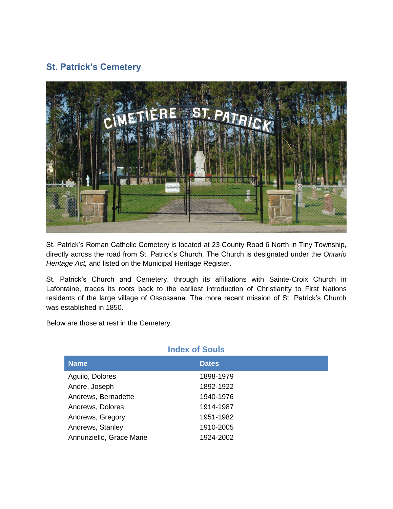## **St. Patrick's Cemetery**



St. Patrick's Roman Catholic Cemetery is located at 23 County Road 6 North in Tiny Township, directly across the road from St. Patrick's Church. The Church is designated under the *Ontario Heritage Act,* and listed on the Municipal Heritage Register.

St. Patrick's Church and Cemetery, through its affiliations with Sainte-Croix Church in Lafontaine, traces its roots back to the earliest introduction of Christianity to First Nations residents of the large village of Ossossane. The more recent mission of St. Patrick's Church was established in 1850.

Below are those at rest in the Cemetery.

| <b>Index of Souls</b>    |              |  |
|--------------------------|--------------|--|
| <b>Name</b>              | <b>Dates</b> |  |
| Aguilo, Dolores          | 1898-1979    |  |
| Andre, Joseph            | 1892-1922    |  |
| Andrews, Bernadette      | 1940-1976    |  |
| Andrews, Dolores         | 1914-1987    |  |
| Andrews, Gregory         | 1951-1982    |  |
| Andrews, Stanley         | 1910-2005    |  |
| Annunziello, Grace Marie | 1924-2002    |  |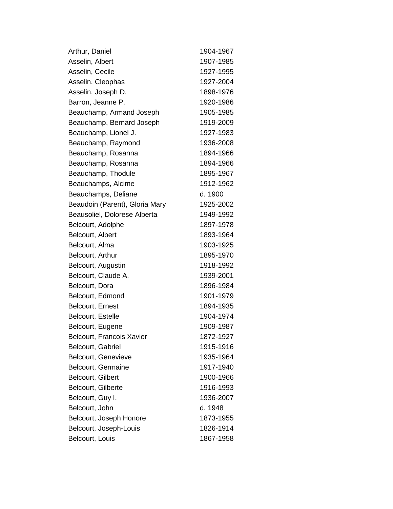| Arthur, Daniel                 | 1904-1967 |
|--------------------------------|-----------|
| Asselin, Albert                | 1907-1985 |
| Asselin, Cecile                | 1927-1995 |
| Asselin, Cleophas              | 1927-2004 |
| Asselin, Joseph D.             | 1898-1976 |
| Barron, Jeanne P.              | 1920-1986 |
| Beauchamp, Armand Joseph       | 1905-1985 |
| Beauchamp, Bernard Joseph      | 1919-2009 |
| Beauchamp, Lionel J.           | 1927-1983 |
| Beauchamp, Raymond             | 1936-2008 |
| Beauchamp, Rosanna             | 1894-1966 |
| Beauchamp, Rosanna             | 1894-1966 |
| Beauchamp, Thodule             | 1895-1967 |
| Beauchamps, Alcime             | 1912-1962 |
| Beauchamps, Deliane            | d. 1900   |
| Beaudoin (Parent), Gloria Mary | 1925-2002 |
| Beausoliel, Dolorese Alberta   | 1949-1992 |
| Belcourt, Adolphe              | 1897-1978 |
| Belcourt, Albert               | 1893-1964 |
| Belcourt, Alma                 | 1903-1925 |
| Belcourt, Arthur               | 1895-1970 |
| Belcourt, Augustin             | 1918-1992 |
| Belcourt, Claude A.            | 1939-2001 |
| Belcourt, Dora                 | 1896-1984 |
| Belcourt, Edmond               | 1901-1979 |
| Belcourt, Ernest               | 1894-1935 |
| Belcourt, Estelle              | 1904-1974 |
| Belcourt, Eugene               | 1909-1987 |
| Belcourt, Francois Xavier      | 1872-1927 |
| Belcourt, Gabriel              | 1915-1916 |
| Belcourt, Genevieve            | 1935-1964 |
| Belcourt, Germaine             | 1917-1940 |
| Belcourt, Gilbert              | 1900-1966 |
| Belcourt, Gilberte             | 1916-1993 |
| Belcourt, Guy I.               | 1936-2007 |
| Belcourt, John                 | d. 1948   |
| Belcourt, Joseph Honore        | 1873-1955 |
| Belcourt, Joseph-Louis         | 1826-1914 |
| Belcourt, Louis                | 1867-1958 |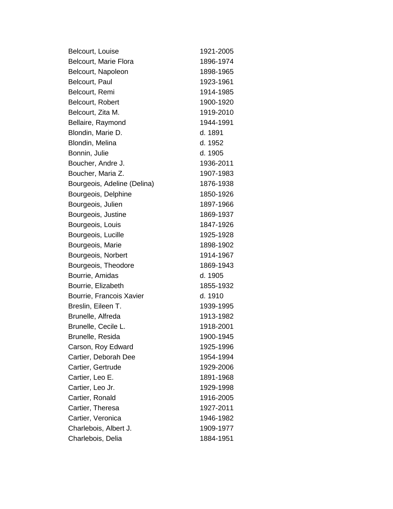| Belcourt, Louise            | 1921-2005 |
|-----------------------------|-----------|
| Belcourt, Marie Flora       | 1896-1974 |
| Belcourt, Napoleon          | 1898-1965 |
| Belcourt, Paul              | 1923-1961 |
| Belcourt, Remi              | 1914-1985 |
| Belcourt, Robert            | 1900-1920 |
| Belcourt, Zita M.           | 1919-2010 |
| Bellaire, Raymond           | 1944-1991 |
| Blondin, Marie D.           | d. 1891   |
| Blondin, Melina             | d. 1952   |
| Bonnin, Julie               | d. 1905   |
| Boucher, Andre J.           | 1936-2011 |
| Boucher, Maria Z.           | 1907-1983 |
| Bourgeois, Adeline (Delina) | 1876-1938 |
| Bourgeois, Delphine         | 1850-1926 |
| Bourgeois, Julien           | 1897-1966 |
| Bourgeois, Justine          | 1869-1937 |
| Bourgeois, Louis            | 1847-1926 |
| Bourgeois, Lucille          | 1925-1928 |
| Bourgeois, Marie            | 1898-1902 |
| Bourgeois, Norbert          | 1914-1967 |
| Bourgeois, Theodore         | 1869-1943 |
| Bourrie, Amidas             | d. 1905   |
| Bourrie, Elizabeth          | 1855-1932 |
| Bourrie, Francois Xavier    | d. 1910   |
| Breslin, Eileen T.          | 1939-1995 |
| Brunelle, Alfreda           | 1913-1982 |
| Brunelle, Cecile L.         | 1918-2001 |
| Brunelle, Resida            | 1900-1945 |
| Carson, Roy Edward          | 1925-1996 |
| Cartier, Deborah Dee        | 1954-1994 |
| Cartier, Gertrude           | 1929-2006 |
| Cartier, Leo E.             | 1891-1968 |
| Cartier, Leo Jr.            | 1929-1998 |
| Cartier, Ronald             | 1916-2005 |
| Cartier, Theresa            | 1927-2011 |
| Cartier, Veronica           | 1946-1982 |
| Charlebois, Albert J.       | 1909-1977 |
| Charlebois, Delia           | 1884-1951 |
|                             |           |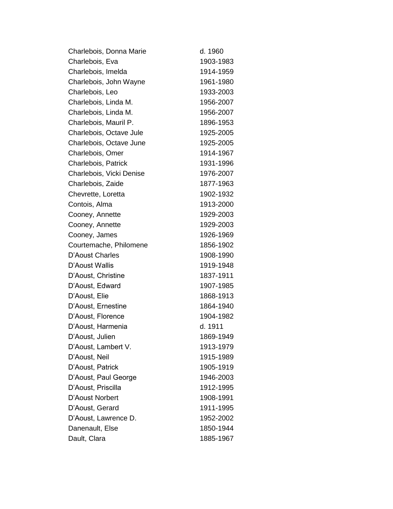| Charlebois, Donna Marie  | d. 1960   |
|--------------------------|-----------|
| Charlebois, Eva          | 1903-1983 |
| Charlebois, Imelda       | 1914-1959 |
| Charlebois, John Wayne   | 1961-1980 |
| Charlebois, Leo          | 1933-2003 |
| Charlebois, Linda M.     | 1956-2007 |
| Charlebois, Linda M.     | 1956-2007 |
| Charlebois, Mauril P.    | 1896-1953 |
| Charlebois, Octave Jule  | 1925-2005 |
| Charlebois, Octave June  | 1925-2005 |
| Charlebois, Omer         | 1914-1967 |
| Charlebois, Patrick      | 1931-1996 |
| Charlebois, Vicki Denise | 1976-2007 |
| Charlebois, Zaide        | 1877-1963 |
| Chevrette, Loretta       | 1902-1932 |
| Contois, Alma            | 1913-2000 |
| Cooney, Annette          | 1929-2003 |
| Cooney, Annette          | 1929-2003 |
| Cooney, James            | 1926-1969 |
| Courtemache, Philomene   | 1856-1902 |
| D'Aoust Charles          | 1908-1990 |
| D'Aoust Wallis           | 1919-1948 |
| D'Aoust, Christine       | 1837-1911 |
| D'Aoust, Edward          | 1907-1985 |
| D'Aoust, Elie            | 1868-1913 |
| D'Aoust, Ernestine       | 1864-1940 |
| D'Aoust, Florence        | 1904-1982 |
| D'Aoust, Harmenia        | d. 1911   |
| D'Aoust, Julien          | 1869-1949 |
| D'Aoust, Lambert V.      | 1913-1979 |
| D'Aoust, Neil            | 1915-1989 |
| D'Aoust, Patrick         | 1905-1919 |
| D'Aoust, Paul George     | 1946-2003 |
| D'Aoust, Priscilla       | 1912-1995 |
| D'Aoust Norbert          | 1908-1991 |
| D'Aoust, Gerard          | 1911-1995 |
| D'Aoust, Lawrence D.     | 1952-2002 |
| Danenault, Else          | 1850-1944 |
| Dault, Clara             | 1885-1967 |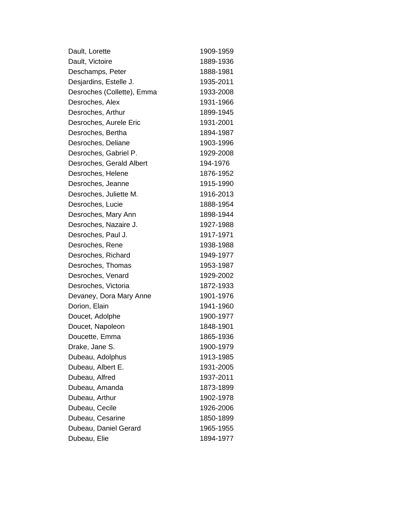| Dault, Lorette             | 1909-1959 |
|----------------------------|-----------|
| Dault, Victoire            | 1889-1936 |
| Deschamps, Peter           | 1888-1981 |
| Desjardins, Estelle J.     | 1935-2011 |
| Desroches (Collette), Emma | 1933-2008 |
| Desroches, Alex            | 1931-1966 |
| Desroches, Arthur          | 1899-1945 |
| Desroches, Aurele Eric     | 1931-2001 |
| Desroches, Bertha          | 1894-1987 |
| Desroches, Deliane         | 1903-1996 |
| Desroches, Gabriel P.      | 1929-2008 |
| Desroches, Gerald Albert   | 194-1976  |
| Desroches, Helene          | 1876-1952 |
| Desroches, Jeanne          | 1915-1990 |
| Desroches, Juliette M.     | 1916-2013 |
| Desroches, Lucie           | 1888-1954 |
| Desroches, Mary Ann        | 1898-1944 |
| Desroches, Nazaire J.      | 1927-1988 |
| Desroches, Paul J.         | 1917-1971 |
| Desroches, Rene            | 1938-1988 |
| Desroches, Richard         | 1949-1977 |
| Desroches, Thomas          | 1953-1987 |
| Desroches, Venard          | 1929-2002 |
| Desroches, Victoria        | 1872-1933 |
| Devaney, Dora Mary Anne    | 1901-1976 |
| Dorion, Elain              | 1941-1960 |
| Doucet, Adolphe            | 1900-1977 |
| Doucet, Napoleon           | 1848-1901 |
| Doucette, Emma             | 1865-1936 |
| Drake, Jane S.             | 1900-1979 |
| Dubeau, Adolphus           | 1913-1985 |
| Dubeau, Albert E.          | 1931-2005 |
| Dubeau, Alfred             | 1937-2011 |
| Dubeau, Amanda             | 1873-1899 |
| Dubeau, Arthur             | 1902-1978 |
| Dubeau, Cecile             | 1926-2006 |
| Dubeau, Cesarine           | 1850-1899 |
| Dubeau, Daniel Gerard      | 1965-1955 |
| Dubeau, Elie               | 1894-1977 |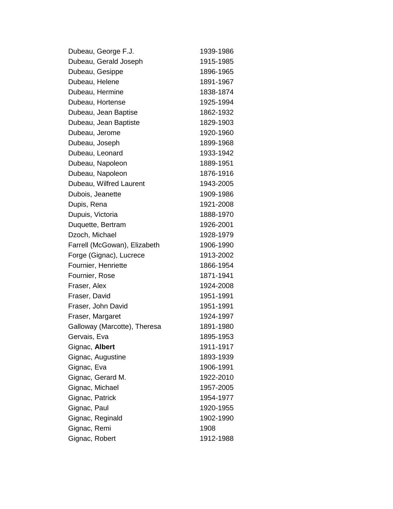| Dubeau, George F.J.          | 1939-1986 |
|------------------------------|-----------|
| Dubeau, Gerald Joseph        | 1915-1985 |
| Dubeau, Gesippe              | 1896-1965 |
| Dubeau, Helene               | 1891-1967 |
| Dubeau, Hermine              | 1838-1874 |
| Dubeau, Hortense             | 1925-1994 |
| Dubeau, Jean Baptise         | 1862-1932 |
| Dubeau, Jean Baptiste        | 1829-1903 |
| Dubeau, Jerome               | 1920-1960 |
| Dubeau, Joseph               | 1899-1968 |
| Dubeau, Leonard              | 1933-1942 |
| Dubeau, Napoleon             | 1889-1951 |
| Dubeau, Napoleon             | 1876-1916 |
| Dubeau, Wilfred Laurent      | 1943-2005 |
| Dubois, Jeanette             | 1909-1986 |
| Dupis, Rena                  | 1921-2008 |
| Dupuis, Victoria             | 1888-1970 |
| Duquette, Bertram            | 1926-2001 |
| Dzoch, Michael               | 1928-1979 |
| Farrell (McGowan), Elizabeth | 1906-1990 |
| Forge (Gignac), Lucrece      | 1913-2002 |
| Fournier, Henriette          | 1866-1954 |
| Fournier, Rose               | 1871-1941 |
| Fraser, Alex                 | 1924-2008 |
| Fraser, David                | 1951-1991 |
| Fraser, John David           | 1951-1991 |
| Fraser, Margaret             | 1924-1997 |
| Galloway (Marcotte), Theresa | 1891-1980 |
| Gervais, Eva                 | 1895-1953 |
| Gignac, Albert               | 1911-1917 |
| Gignac, Augustine            | 1893-1939 |
| Gignac, Eva                  | 1906-1991 |
| Gignac, Gerard M.            | 1922-2010 |
| Gignac, Michael              | 1957-2005 |
| Gignac, Patrick              | 1954-1977 |
| Gignac, Paul                 | 1920-1955 |
| Gignac, Reginald             | 1902-1990 |
| Gignac, Remi                 | 1908      |
| Gignac, Robert               | 1912-1988 |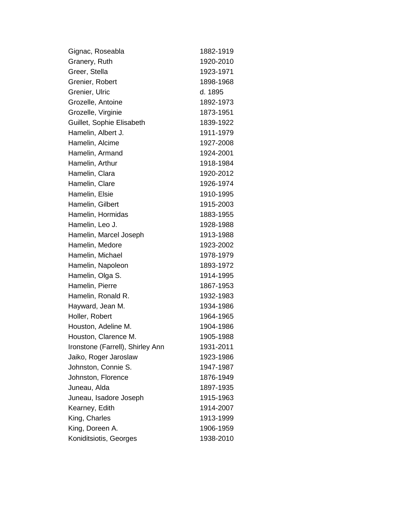| Gignac, Roseabla                 | 1882-1919 |
|----------------------------------|-----------|
| Granery, Ruth                    | 1920-2010 |
| Greer, Stella                    | 1923-1971 |
| Grenier, Robert                  | 1898-1968 |
| Grenier, Ulric                   | d. 1895   |
| Grozelle, Antoine                | 1892-1973 |
| Grozelle, Virginie               | 1873-1951 |
| Guillet, Sophie Elisabeth        | 1839-1922 |
| Hamelin, Albert J.               | 1911-1979 |
| Hamelin, Alcime                  | 1927-2008 |
| Hamelin, Armand                  | 1924-2001 |
| Hamelin, Arthur                  | 1918-1984 |
| Hamelin, Clara                   | 1920-2012 |
| Hamelin, Clare                   | 1926-1974 |
| Hamelin, Elsie                   | 1910-1995 |
| Hamelin, Gilbert                 | 1915-2003 |
| Hamelin, Hormidas                | 1883-1955 |
| Hamelin, Leo J.                  | 1928-1988 |
| Hamelin, Marcel Joseph           | 1913-1988 |
| Hamelin, Medore                  | 1923-2002 |
| Hamelin, Michael                 | 1978-1979 |
| Hamelin, Napoleon                | 1893-1972 |
| Hamelin, Olga S.                 | 1914-1995 |
| Hamelin, Pierre                  | 1867-1953 |
| Hamelin, Ronald R.               | 1932-1983 |
| Hayward, Jean M.                 | 1934-1986 |
| Holler, Robert                   | 1964-1965 |
| Houston, Adeline M.              | 1904-1986 |
| Houston, Clarence M.             | 1905-1988 |
| Ironstone (Farrell), Shirley Ann | 1931-2011 |
| Jaiko, Roger Jaroslaw            | 1923-1986 |
| Johnston, Connie S.              | 1947-1987 |
| Johnston, Florence               | 1876-1949 |
| Juneau, Alda                     | 1897-1935 |
| Juneau, Isadore Joseph           | 1915-1963 |
| Kearney, Edith                   | 1914-2007 |
| King, Charles                    | 1913-1999 |
| King, Doreen A.                  | 1906-1959 |
| Koniditsiotis, Georges           | 1938-2010 |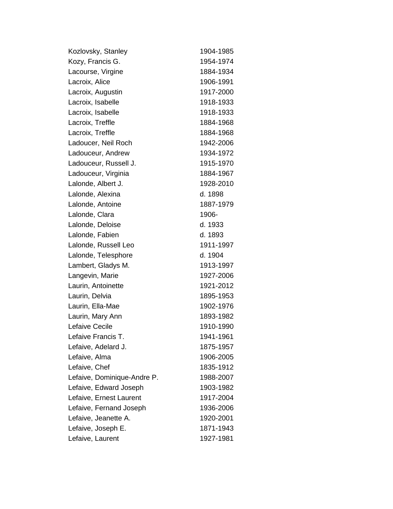| Kozlovsky, Stanley          | 1904-1985 |
|-----------------------------|-----------|
| Kozy, Francis G.            | 1954-1974 |
| Lacourse, Virgine           | 1884-1934 |
| Lacroix, Alice              | 1906-1991 |
| Lacroix, Augustin           | 1917-2000 |
| Lacroix, Isabelle           | 1918-1933 |
| Lacroix, Isabelle           | 1918-1933 |
| Lacroix, Treffle            | 1884-1968 |
| Lacroix, Treffle            | 1884-1968 |
| Ladoucer, Neil Roch         | 1942-2006 |
| Ladouceur, Andrew           | 1934-1972 |
| Ladouceur, Russell J.       | 1915-1970 |
| Ladouceur, Virginia         | 1884-1967 |
| Lalonde, Albert J.          | 1928-2010 |
| Lalonde, Alexina            | d. 1898   |
| Lalonde, Antoine            | 1887-1979 |
| Lalonde, Clara              | 1906-     |
| Lalonde, Deloise            | d. 1933   |
| Lalonde, Fabien             | d. 1893   |
| Lalonde, Russell Leo        | 1911-1997 |
| Lalonde, Telesphore         | d. 1904   |
| Lambert, Gladys M.          | 1913-1997 |
| Langevin, Marie             | 1927-2006 |
| Laurin, Antoinette          | 1921-2012 |
| Laurin, Delvia              | 1895-1953 |
| Laurin, Ella-Mae            | 1902-1976 |
| Laurin, Mary Ann            | 1893-1982 |
| Lefaive Cecile              | 1910-1990 |
| Lefaive Francis T.          | 1941-1961 |
| Lefaive, Adelard J.         | 1875-1957 |
| Lefaive, Alma               | 1906-2005 |
| Lefaive, Chef               | 1835-1912 |
| Lefaive, Dominique-Andre P. | 1988-2007 |
| Lefaive, Edward Joseph      | 1903-1982 |
| Lefaive, Ernest Laurent     | 1917-2004 |
| Lefaive, Fernand Joseph     | 1936-2006 |
| Lefaive, Jeanette A.        | 1920-2001 |
| Lefaive, Joseph E.          | 1871-1943 |
| Lefaive, Laurent            | 1927-1981 |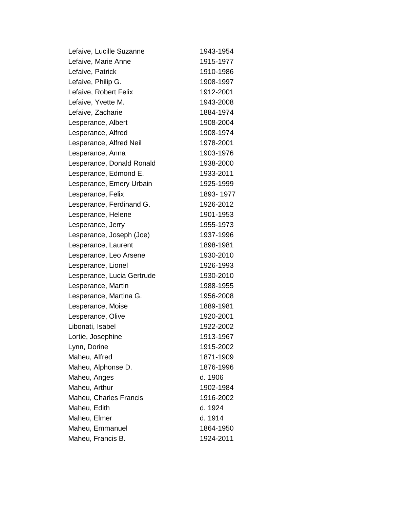| Lefaive, Lucille Suzanne   | 1943-1954 |
|----------------------------|-----------|
| Lefaive, Marie Anne        | 1915-1977 |
| Lefaive, Patrick           | 1910-1986 |
| Lefaive, Philip G.         | 1908-1997 |
| Lefaive, Robert Felix      | 1912-2001 |
| Lefaive, Yvette M.         | 1943-2008 |
| Lefaive, Zacharie          | 1884-1974 |
| Lesperance, Albert         | 1908-2004 |
| Lesperance, Alfred         | 1908-1974 |
| Lesperance, Alfred Neil    | 1978-2001 |
| Lesperance, Anna           | 1903-1976 |
| Lesperance, Donald Ronald  | 1938-2000 |
| Lesperance, Edmond E.      | 1933-2011 |
| Lesperance, Emery Urbain   | 1925-1999 |
| Lesperance, Felix          | 1893-1977 |
| Lesperance, Ferdinand G.   | 1926-2012 |
| Lesperance, Helene         | 1901-1953 |
| Lesperance, Jerry          | 1955-1973 |
| Lesperance, Joseph (Joe)   | 1937-1996 |
| Lesperance, Laurent        | 1898-1981 |
| Lesperance, Leo Arsene     | 1930-2010 |
| Lesperance, Lionel         | 1926-1993 |
| Lesperance, Lucia Gertrude | 1930-2010 |
| Lesperance, Martin         | 1988-1955 |
| Lesperance, Martina G.     | 1956-2008 |
| Lesperance, Moise          | 1889-1981 |
| Lesperance, Olive          | 1920-2001 |
| Libonati, Isabel           | 1922-2002 |
| Lortie, Josephine          | 1913-1967 |
| Lynn, Dorine               | 1915-2002 |
| Maheu, Alfred              | 1871-1909 |
| Maheu, Alphonse D.         | 1876-1996 |
| Maheu, Anges               | d. 1906   |
| Maheu, Arthur              | 1902-1984 |
| Maheu, Charles Francis     | 1916-2002 |
| Maheu, Edith               | d. 1924   |
| Maheu, Elmer               | d. 1914   |
| Maheu, Emmanuel            | 1864-1950 |
| Maheu, Francis B.          | 1924-2011 |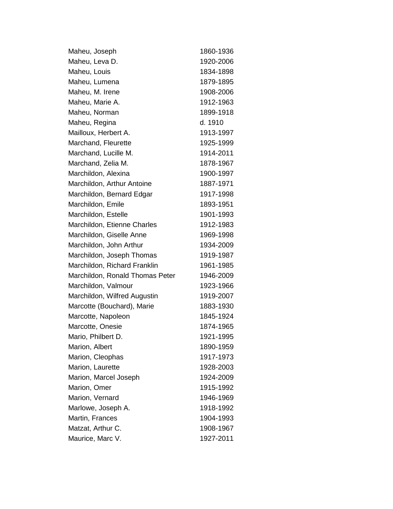| 1860-1936 |
|-----------|
| 1920-2006 |
| 1834-1898 |
| 1879-1895 |
| 1908-2006 |
| 1912-1963 |
| 1899-1918 |
| d. 1910   |
| 1913-1997 |
| 1925-1999 |
| 1914-2011 |
| 1878-1967 |
| 1900-1997 |
| 1887-1971 |
| 1917-1998 |
| 1893-1951 |
| 1901-1993 |
| 1912-1983 |
| 1969-1998 |
| 1934-2009 |
| 1919-1987 |
| 1961-1985 |
| 1946-2009 |
| 1923-1966 |
| 1919-2007 |
| 1883-1930 |
| 1845-1924 |
| 1874-1965 |
| 1921-1995 |
| 1890-1959 |
| 1917-1973 |
| 1928-2003 |
| 1924-2009 |
| 1915-1992 |
| 1946-1969 |
| 1918-1992 |
| 1904-1993 |
| 1908-1967 |
| 1927-2011 |
|           |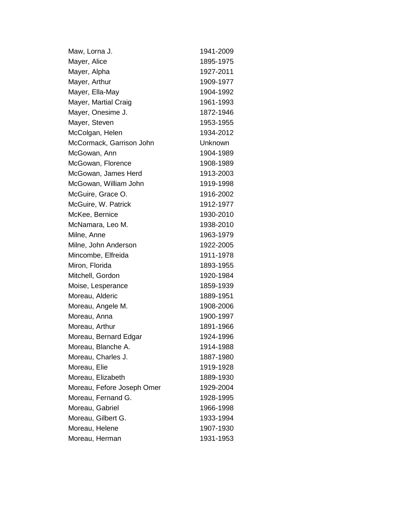| Maw, Lorna J.              | 1941-2009      |
|----------------------------|----------------|
| Mayer, Alice               | 1895-1975      |
| Mayer, Alpha               | 1927-2011      |
| Mayer, Arthur              | 1909-1977      |
| Mayer, Ella-May            | 1904-1992      |
| Mayer, Martial Craig       | 1961-1993      |
| Mayer, Onesime J.          | 1872-1946      |
| Mayer, Steven              | 1953-1955      |
| McColgan, Helen            | 1934-2012      |
| McCormack, Garrison John   | <b>Unknown</b> |
| McGowan, Ann               | 1904-1989      |
| McGowan, Florence          | 1908-1989      |
| McGowan, James Herd        | 1913-2003      |
| McGowan, William John      | 1919-1998      |
| McGuire, Grace O.          | 1916-2002      |
| McGuire, W. Patrick        | 1912-1977      |
| McKee, Bernice             | 1930-2010      |
| McNamara, Leo M.           | 1938-2010      |
| Milne, Anne                | 1963-1979      |
| Milne, John Anderson       | 1922-2005      |
| Mincombe, Elfreida         | 1911-1978      |
| Miron, Florida             | 1893-1955      |
| Mitchell, Gordon           | 1920-1984      |
| Moise, Lesperance          | 1859-1939      |
| Moreau, Alderic            | 1889-1951      |
| Moreau, Angele M.          | 1908-2006      |
| Moreau, Anna               | 1900-1997      |
| Moreau, Arthur             | 1891-1966      |
| Moreau, Bernard Edgar      | 1924-1996      |
| Moreau, Blanche A.         | 1914-1988      |
| Moreau, Charles J.         | 1887-1980      |
| Moreau, Elie               | 1919-1928      |
| Moreau, Elizabeth          | 1889-1930      |
| Moreau, Fefore Joseph Omer | 1929-2004      |
| Moreau, Fernand G.         | 1928-1995      |
| Moreau, Gabriel            | 1966-1998      |
| Moreau, Gilbert G.         | 1933-1994      |
| Moreau, Helene             | 1907-1930      |
| Moreau, Herman             | 1931-1953      |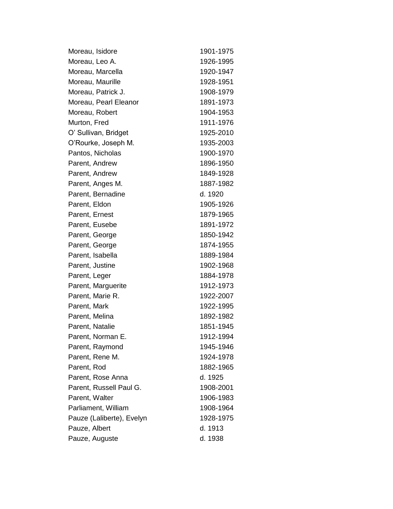| Moreau, Isidore           | 1901-1975 |
|---------------------------|-----------|
| Moreau, Leo A.            | 1926-1995 |
| Moreau, Marcella          | 1920-1947 |
| Moreau, Maurille          | 1928-1951 |
| Moreau, Patrick J.        | 1908-1979 |
| Moreau, Pearl Eleanor     | 1891-1973 |
| Moreau, Robert            | 1904-1953 |
| Murton, Fred              | 1911-1976 |
| O' Sullivan, Bridget      | 1925-2010 |
| O'Rourke, Joseph M.       | 1935-2003 |
| Pantos, Nicholas          | 1900-1970 |
| Parent, Andrew            | 1896-1950 |
| Parent, Andrew            | 1849-1928 |
| Parent, Anges M.          | 1887-1982 |
| Parent, Bernadine         | d. 1920   |
| Parent, Eldon             | 1905-1926 |
| Parent, Ernest            | 1879-1965 |
| Parent, Eusebe            | 1891-1972 |
| Parent, George            | 1850-1942 |
| Parent, George            | 1874-1955 |
| Parent, Isabella          | 1889-1984 |
| Parent, Justine           | 1902-1968 |
| Parent, Leger             | 1884-1978 |
| Parent, Marguerite        | 1912-1973 |
| Parent, Marie R.          | 1922-2007 |
| Parent, Mark              | 1922-1995 |
| Parent, Melina            | 1892-1982 |
| Parent, Natalie           | 1851-1945 |
| Parent, Norman E.         | 1912-1994 |
| Parent, Raymond           | 1945-1946 |
| Parent, Rene M.           | 1924-1978 |
| Parent, Rod               | 1882-1965 |
| Parent, Rose Anna         | d. 1925   |
| Parent, Russell Paul G.   | 1908-2001 |
| Parent, Walter            | 1906-1983 |
| Parliament, William       | 1908-1964 |
| Pauze (Laliberte), Evelyn | 1928-1975 |
| Pauze, Albert             | d. 1913   |
| Pauze, Auguste            | d. 1938   |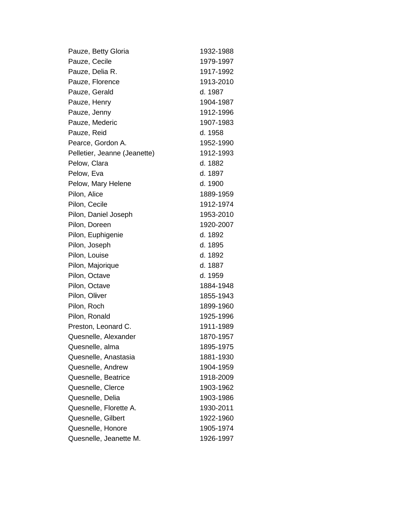| Pauze, Betty Gloria          | 1932-1988 |
|------------------------------|-----------|
| Pauze, Cecile                | 1979-1997 |
| Pauze, Delia R.              | 1917-1992 |
| Pauze, Florence              | 1913-2010 |
| Pauze, Gerald                | d. 1987   |
| Pauze, Henry                 | 1904-1987 |
| Pauze, Jenny                 | 1912-1996 |
| Pauze, Mederic               | 1907-1983 |
| Pauze, Reid                  | d. 1958   |
| Pearce, Gordon A.            | 1952-1990 |
| Pelletier, Jeanne (Jeanette) | 1912-1993 |
| Pelow, Clara                 | d. 1882   |
| Pelow, Eva                   | d. 1897   |
| Pelow, Mary Helene           | d. 1900   |
| Pilon, Alice                 | 1889-1959 |
| Pilon, Cecile                | 1912-1974 |
| Pilon, Daniel Joseph         | 1953-2010 |
| Pilon, Doreen                | 1920-2007 |
| Pilon, Euphigenie            | d. 1892   |
| Pilon, Joseph                | d. 1895   |
| Pilon, Louise                | d. 1892   |
| Pilon, Majorique             | d. 1887   |
| Pilon, Octave                | d. 1959   |
| Pilon, Octave                | 1884-1948 |
| Pilon, Oliver                | 1855-1943 |
| Pilon, Roch                  | 1899-1960 |
| Pilon, Ronald                | 1925-1996 |
| Preston, Leonard C.          | 1911-1989 |
| Quesnelle, Alexander         | 1870-1957 |
| Quesnelle, alma              | 1895-1975 |
| Quesnelle, Anastasia         | 1881-1930 |
| Quesnelle, Andrew            | 1904-1959 |
| Quesnelle, Beatrice          | 1918-2009 |
| Quesnelle, Clerce            | 1903-1962 |
| Quesnelle, Delia             | 1903-1986 |
| Quesnelle, Florette A.       | 1930-2011 |
| Quesnelle, Gilbert           | 1922-1960 |
| Quesnelle, Honore            | 1905-1974 |
| Quesnelle, Jeanette M.       | 1926-1997 |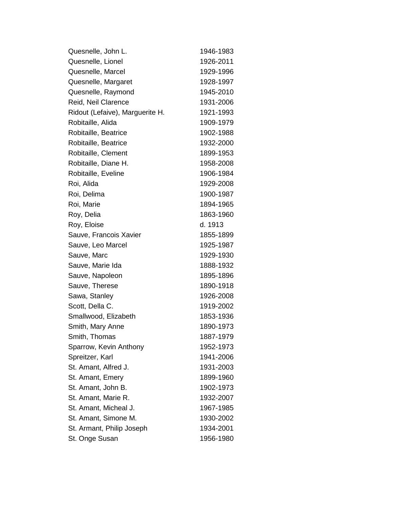| Quesnelle, John L.              | 1946-1983 |
|---------------------------------|-----------|
| Quesnelle, Lionel               | 1926-2011 |
| Quesnelle, Marcel               | 1929-1996 |
| Quesnelle, Margaret             | 1928-1997 |
| Quesnelle, Raymond              | 1945-2010 |
| Reid, Neil Clarence             | 1931-2006 |
| Ridout (Lefaive), Marguerite H. | 1921-1993 |
| Robitaille, Alida               | 1909-1979 |
| Robitaille, Beatrice            | 1902-1988 |
| Robitaille, Beatrice            | 1932-2000 |
| Robitaille, Clement             | 1899-1953 |
| Robitaille, Diane H.            | 1958-2008 |
| Robitaille, Eveline             | 1906-1984 |
| Roi, Alida                      | 1929-2008 |
| Roi, Delima                     | 1900-1987 |
| Roi, Marie                      | 1894-1965 |
| Roy, Delia                      | 1863-1960 |
| Roy, Eloise                     | d. 1913   |
| Sauve, Francois Xavier          | 1855-1899 |
| Sauve, Leo Marcel               | 1925-1987 |
| Sauve, Marc                     | 1929-1930 |
| Sauve, Marie Ida                | 1888-1932 |
| Sauve, Napoleon                 | 1895-1896 |
| Sauve, Therese                  | 1890-1918 |
| Sawa, Stanley                   | 1926-2008 |
| Scott, Della C.                 | 1919-2002 |
| Smallwood, Elizabeth            | 1853-1936 |
| Smith, Mary Anne                | 1890-1973 |
| Smith, Thomas                   | 1887-1979 |
| Sparrow, Kevin Anthony          | 1952-1973 |
| Spreitzer, Karl                 | 1941-2006 |
| St. Amant, Alfred J.            | 1931-2003 |
| St. Amant, Emery                | 1899-1960 |
| St. Amant, John B.              | 1902-1973 |
| St. Amant, Marie R.             | 1932-2007 |
| St. Amant, Micheal J.           | 1967-1985 |
| St. Amant, Simone M.            | 1930-2002 |
| St. Armant, Philip Joseph       | 1934-2001 |
| St. Onge Susan                  | 1956-1980 |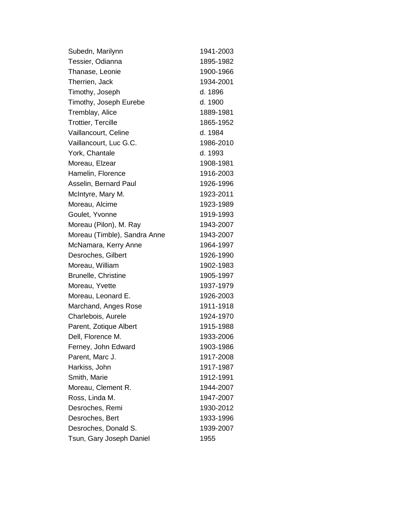| Subedn, Marilynn             | 1941-2003 |
|------------------------------|-----------|
| Tessier, Odianna             | 1895-1982 |
| Thanase, Leonie              | 1900-1966 |
| Therrien, Jack               | 1934-2001 |
| Timothy, Joseph              | d. 1896   |
| Timothy, Joseph Eurebe       | d. 1900   |
| Tremblay, Alice              | 1889-1981 |
| <b>Trottier, Tercille</b>    | 1865-1952 |
| Vaillancourt, Celine         | d. 1984   |
| Vaillancourt, Luc G.C.       | 1986-2010 |
| York, Chantale               | d. 1993   |
| Moreau, Elzear               | 1908-1981 |
| Hamelin, Florence            | 1916-2003 |
| Asselin, Bernard Paul        | 1926-1996 |
| McIntyre, Mary M.            | 1923-2011 |
| Moreau, Alcime               | 1923-1989 |
| Goulet, Yvonne               | 1919-1993 |
| Moreau (Pilon), M. Ray       | 1943-2007 |
| Moreau (Timble), Sandra Anne | 1943-2007 |
| McNamara, Kerry Anne         | 1964-1997 |
| Desroches, Gilbert           | 1926-1990 |
| Moreau, William              | 1902-1983 |
| Brunelle, Christine          | 1905-1997 |
| Moreau, Yvette               | 1937-1979 |
| Moreau, Leonard E.           | 1926-2003 |
| Marchand, Anges Rose         | 1911-1918 |
| Charlebois, Aurele           | 1924-1970 |
| Parent, Zotique Albert       | 1915-1988 |
| Dell, Florence M.            | 1933-2006 |
| Ferney, John Edward          | 1903-1986 |
| Parent, Marc J.              | 1917-2008 |
| Harkiss, John                | 1917-1987 |
| Smith, Marie                 | 1912-1991 |
| Moreau, Clement R.           | 1944-2007 |
| Ross, Linda M.               | 1947-2007 |
| Desroches, Remi              | 1930-2012 |
| Desroches, Bert              | 1933-1996 |
| Desroches, Donald S.         | 1939-2007 |
| Tsun, Gary Joseph Daniel     | 1955      |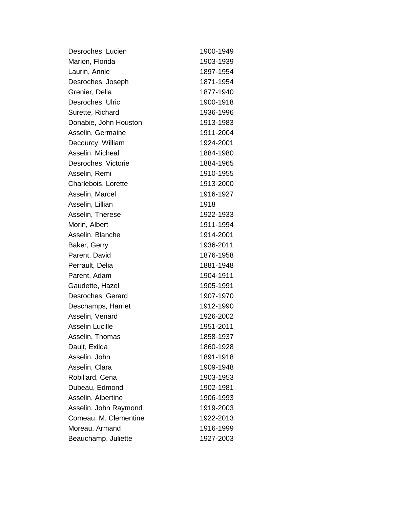| Desroches, Lucien      | 1900-1949 |
|------------------------|-----------|
| Marion, Florida        | 1903-1939 |
| Laurin, Annie          | 1897-1954 |
| Desroches, Joseph      | 1871-1954 |
| Grenier, Delia         | 1877-1940 |
| Desroches, Ulric       | 1900-1918 |
| Surette, Richard       | 1936-1996 |
| Donabie, John Houston  | 1913-1983 |
| Asselin, Germaine      | 1911-2004 |
| Decourcy, William      | 1924-2001 |
| Asselin, Micheal       | 1884-1980 |
| Desroches, Victorie    | 1884-1965 |
| Asselin, Remi          | 1910-1955 |
| Charlebois, Lorette    | 1913-2000 |
| Asselin, Marcel        | 1916-1927 |
| Asselin, Lillian       | 1918      |
| Asselin, Therese       | 1922-1933 |
| Morin, Albert          | 1911-1994 |
| Asselin, Blanche       | 1914-2001 |
| Baker, Gerry           | 1936-2011 |
| Parent, David          | 1876-1958 |
| Perrault, Delia        | 1881-1948 |
| Parent, Adam           | 1904-1911 |
| Gaudette, Hazel        | 1905-1991 |
| Desroches, Gerard      | 1907-1970 |
| Deschamps, Harriet     | 1912-1990 |
| Asselin, Venard        | 1926-2002 |
| <b>Asselin Lucille</b> | 1951-2011 |
| Asselin, Thomas        | 1858-1937 |
| Dault, Exilda          | 1860-1928 |
| Asselin, John          | 1891-1918 |
| Asselin, Clara         | 1909-1948 |
| Robillard, Cena        | 1903-1953 |
| Dubeau, Edmond         | 1902-1981 |
| Asselin, Albertine     | 1906-1993 |
| Asselin, John Raymond  | 1919-2003 |
| Comeau, M. Clementine  | 1922-2013 |
| Moreau, Armand         | 1916-1999 |
| Beauchamp, Juliette    | 1927-2003 |